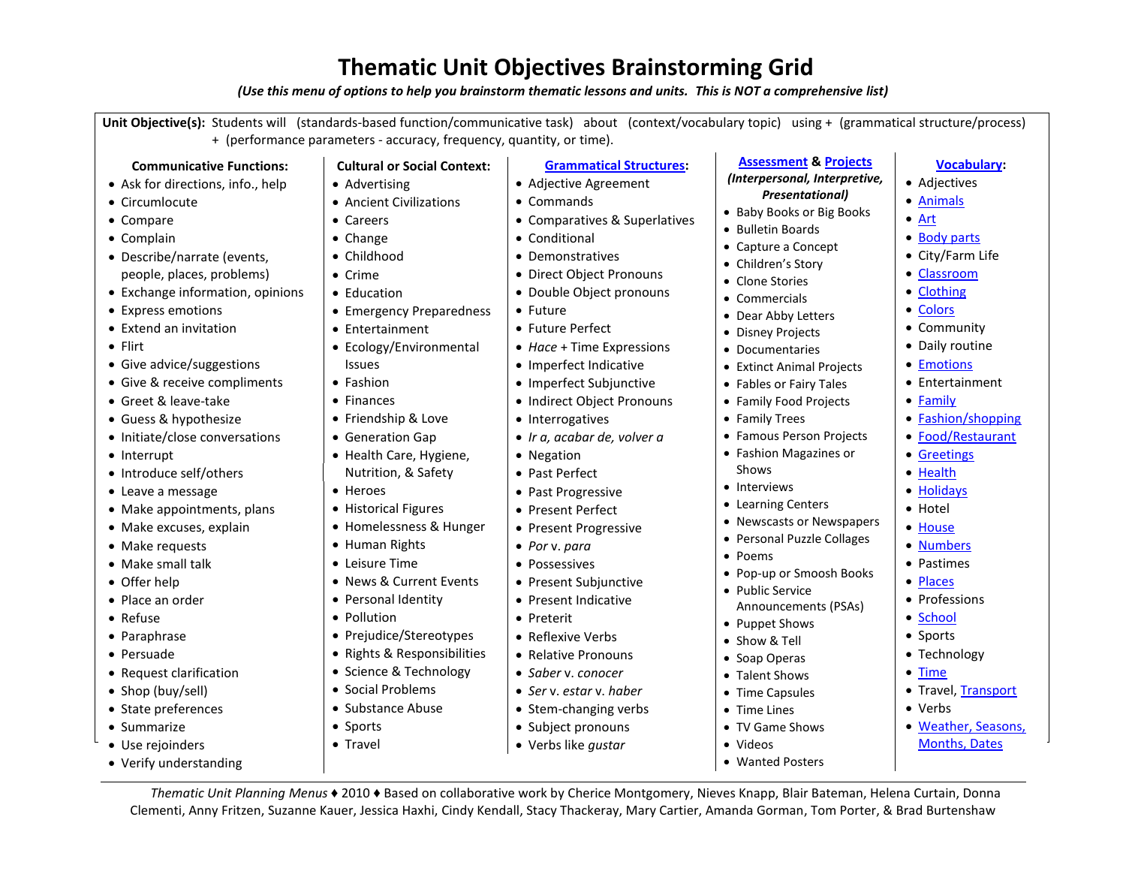## **Thematic Unit Objectives Brainstorming Grid**

*(Use this menu of options to help you brainstorm thematic lessons and units. This is NOT a comprehensive list)*

**Unit Objective(s):** Students will (standards-based function/communicative task) about (context/vocabulary topic) using + (grammatical structure/process) + (performance parameters - accuracy, frequency, quantity, or time).

• Commands

• Conditional • Demonstratives

• Future

Future Perfect

• Interrogatives

• Negation • Past Perfect • Past Progressive • Present Perfect • Present Progressive

 *Por* v. *para* • Possessives

Preterit

• Present Subjunctive • Present Indicative

• Reflexive Verbs • Relative Pronouns *Saber* v. *conocer Ser* v. *estar* v. *haber*

Adjective Agreement

 Direct Object Pronouns Double Object pronouns

 *Hace* + Time Expressions • Imperfect Indicative • Imperfect Subjunctive • Indirect Object Pronouns

*Ir a, acabar de, volver a*

**[Grammatical Structures:](http://languagelinks2006.wikispaces.com/Spanish+-+Grammar-related+Activities)**

Comparatives & Superlatives

## **Communicative Functions:**

- Ask for directions, info., help
- Circumlocute
- Compare
- Complain
- Describe/narrate (events, people, places, problems)
- Exchange information, opinions
- Express emotions
- $\bullet$  Extend an invitation
- Flirt
- Give advice/suggestions
- Give & receive compliments
- Greet & leave-take
- Guess & hypothesize
- Initiate/close conversations
- Interrupt
- Introduce self/others
- Leave a message
- Make appointments, plans
- Make excuses, explain
- Make requests
- Make small talk
- Offer help
- Place an order
- Refuse
- Paraphrase
- Persuade
- Request clarification
- Shop (buy/sell)
- State preferences
- Summarize
- Use rejoinders
- Verify understanding
- **Cultural or Social Context:** • Advertising
- Ancient Civilizations
- Careers
- Change
- Childhood Crime
- Education
- Emergency Preparedness
- Entertainment
- Ecology/Environmental
- Issues
- Fashion
- Finances
- Friendship & Love
- Generation Gap
- Health Care, Hygiene,
- Nutrition, & Safety
- Heroes
- Historical Figures
- Homelessness & Hunger • Human Rights
- Leisure Time
- News & Current Events
- Personal Identity
- Pollution
- Prejudice/Stereotypes
- Rights & Responsibilities
- Science & Technology
- Social Problems
- Substance Abuse
- Sports
- Travel
- 
- Stem-changing verbs • Subject pronouns

*Thematic Unit Planning Menus* ♦ 2010 ♦ Based on collaborative work by Cherice Montgomery, Nieves Knapp, Blair Bateman, Helena Curtain, Donna Clementi, Anny Fritzen, Suzanne Kauer, Jessica Haxhi, Cindy Kendall, Stacy Thackeray, Mary Cartier, Amanda Gorman, Tom Porter, & Brad Burtenshaw

Verbs like *gustar*

- **[Assessment](http://languagelinks2006.wikispaces.com/Assessment) & [Projects](http://languagelinks2006.wikispaces.com/Project+Ideas)**
- *(Interpersonal, Interpretive, Presentational)*

**[Vocabulary:](http://languagelinks2006.wikispaces.com/Vocabulary-related+Activities)**

• Adjectives [Animals](http://languagelinks2006.wikispaces.com/Vocabulary-related-Activities-Animals) [Art](http://languagelinks2006.wikispaces.com/Art-based+Activities)

• [Body parts](http://languagelinks2006.wikispaces.com/Body+Parts) City/Farm Life [Classroom](http://languagelinks2006.wikispaces.com/Classroom+Objects+and+Actions) • [Clothing](http://languagelinks2006.wikispaces.com/Clothing+and+Descriptions) • [Colors](http://languagelinks2006.wikispaces.com/Colors) • Community Daily routine • [Emotions](http://languagelinks2006.wikispaces.com/Vocabulary-related-Activities-PersonalityCharacteristics) • Entertainment

[Family](http://languagelinks2006.wikispaces.com/Family_vocab)

• [Fashion/shopping](http://languagelinks2006.wikispaces.com/Fashion) [Food/Restaurant](http://languagelinks2006.wikispaces.com/Food) [Greetings](http://languagelinks2006.wikispaces.com/Greetingsandintros) • [Health](http://languagelinks2006.wikispaces.com/Spanish_HealthFitness) [Holidays](http://languagelinks2006.wikispaces.com/Holidays) • Hotel • [House](http://languagelinks2006.wikispaces.com/Vocabulary-House) • [Numbers](http://languagelinks2006.wikispaces.com/Numbers) • Pastimes • [Places](http://languagelinks2006.wikispaces.com/Places) • Professions • [School](http://languagelinks2006.wikispaces.com/Vocabulary+Activities-School) • Sports • Technology • [Time](http://languagelinks2006.wikispaces.com/Time)

• Travel[, Transport](http://languagelinks2006.wikispaces.com/Transportation+Vocabulary)

 [Weather, Seasons,](http://languagelinks2006.wikispaces.com/Months+and+Seasons)  [Months, Dates](http://languagelinks2006.wikispaces.com/Months+and+Seasons)

Verbs

- Baby Books or Big Books
- Bulletin Boards
- Capture a Concept
- Children's Story
- Clone Stories • Commercials
- Dear Abby Letters
- Disney Projects
- Documentaries
- Extinct Animal Projects
- Fables or Fairy Tales
- Family Food Projects
- Family Trees
- Famous Person Projects
- Fashion Magazines or
	- Shows
- Interviews
- Learning Centers
- Newscasts or Newspapers
- Personal Puzzle Collages
- Poems
- Pop-up or Smoosh Books
- Public Service Announcements (PSAs)
- Puppet Shows
- Show & Tell
- Soap Operas
- Talent Shows
- Time Capsules
- Time Lines

Videos

TV Game Shows

Wanted Posters